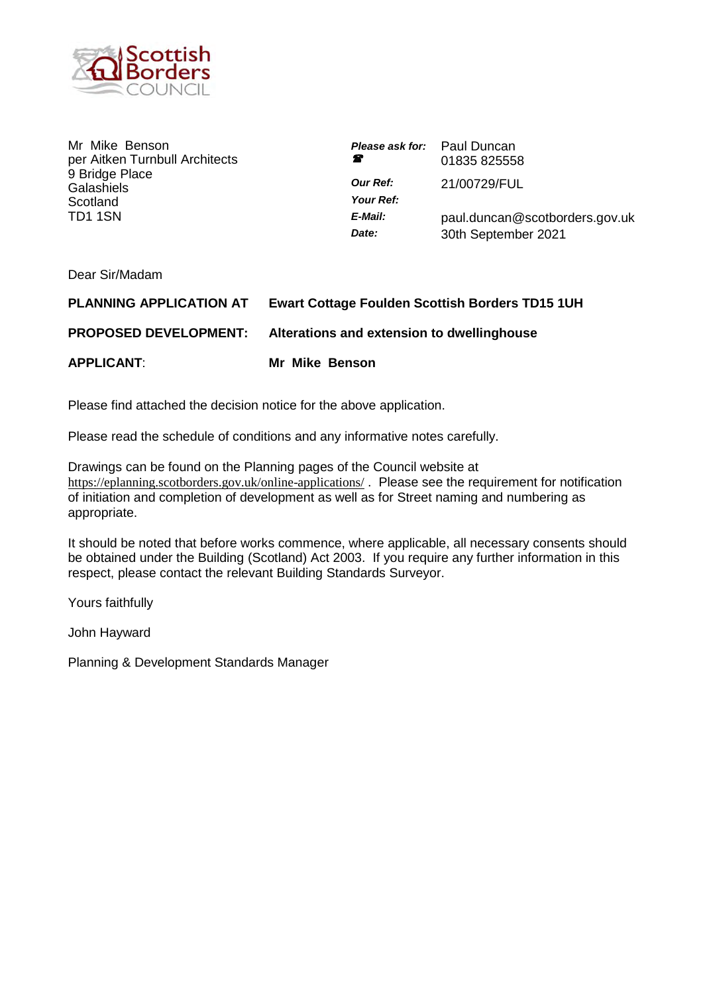

Mr Mike Benson per Aitken Turnbull Architects 9 Bridge Place **Galashiels Scotland** TD1 1SN

| <b>Please ask for:</b> Paul Duncan<br>Ŧ | 01835 825558                                          |
|-----------------------------------------|-------------------------------------------------------|
| <b>Our Ref:</b><br>Your Ref:            | 21/00729/FUL                                          |
| E-Mail:<br>Date:                        | paul.duncan@scotborders.gov.uk<br>30th September 2021 |

Dear Sir/Madam

| <b>PLANNING APPLICATION AT</b> | <b>Ewart Cottage Foulden Scottish Borders TD15 1UH</b> |
|--------------------------------|--------------------------------------------------------|
| <b>PROPOSED DEVELOPMENT:</b>   | Alterations and extension to dwellinghouse             |
| <b>APPLICANT:</b>              | Mr Mike Benson                                         |

Please find attached the decision notice for the above application.

Please read the schedule of conditions and any informative notes carefully.

Drawings can be found on the Planning pages of the Council website at <https://eplanning.scotborders.gov.uk/online-applications/> . Please see the requirement for notification of initiation and completion of development as well as for Street naming and numbering as appropriate.

It should be noted that before works commence, where applicable, all necessary consents should be obtained under the Building (Scotland) Act 2003. If you require any further information in this respect, please contact the relevant Building Standards Surveyor.

Yours faithfully

John Hayward

Planning & Development Standards Manager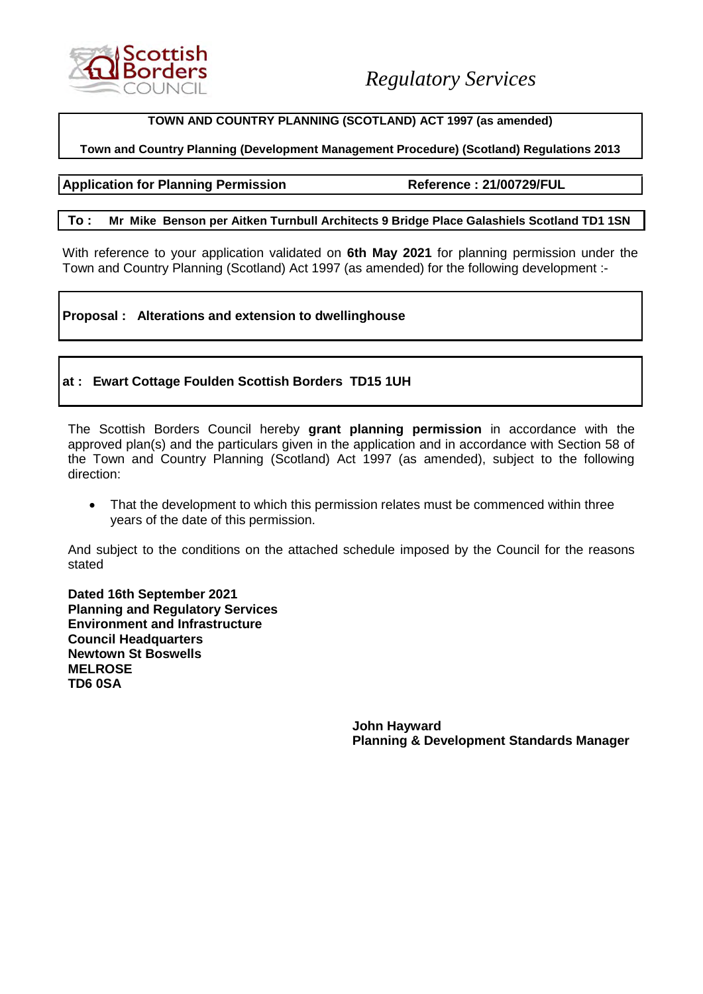

# **TOWN AND COUNTRY PLANNING (SCOTLAND) ACT 1997 (as amended)**

# **Town and Country Planning (Development Management Procedure) (Scotland) Regulations 2013**

# Application for Planning Permission **Reference : 21/00729/FUL**

#### **To : Mr Mike Benson per Aitken Turnbull Architects 9 Bridge Place Galashiels Scotland TD1 1SN**

With reference to your application validated on **6th May 2021** for planning permission under the Town and Country Planning (Scotland) Act 1997 (as amended) for the following development :-

**Proposal : Alterations and extension to dwellinghouse** 

# **at : Ewart Cottage Foulden Scottish Borders TD15 1UH**

The Scottish Borders Council hereby **grant planning permission** in accordance with the approved plan(s) and the particulars given in the application and in accordance with Section 58 of the Town and Country Planning (Scotland) Act 1997 (as amended), subject to the following direction:

• That the development to which this permission relates must be commenced within three years of the date of this permission.

And subject to the conditions on the attached schedule imposed by the Council for the reasons stated

**Dated 16th September 2021 Planning and Regulatory Services Environment and Infrastructure Council Headquarters Newtown St Boswells MELROSE TD6 0SA**

> **John Hayward Planning & Development Standards Manager**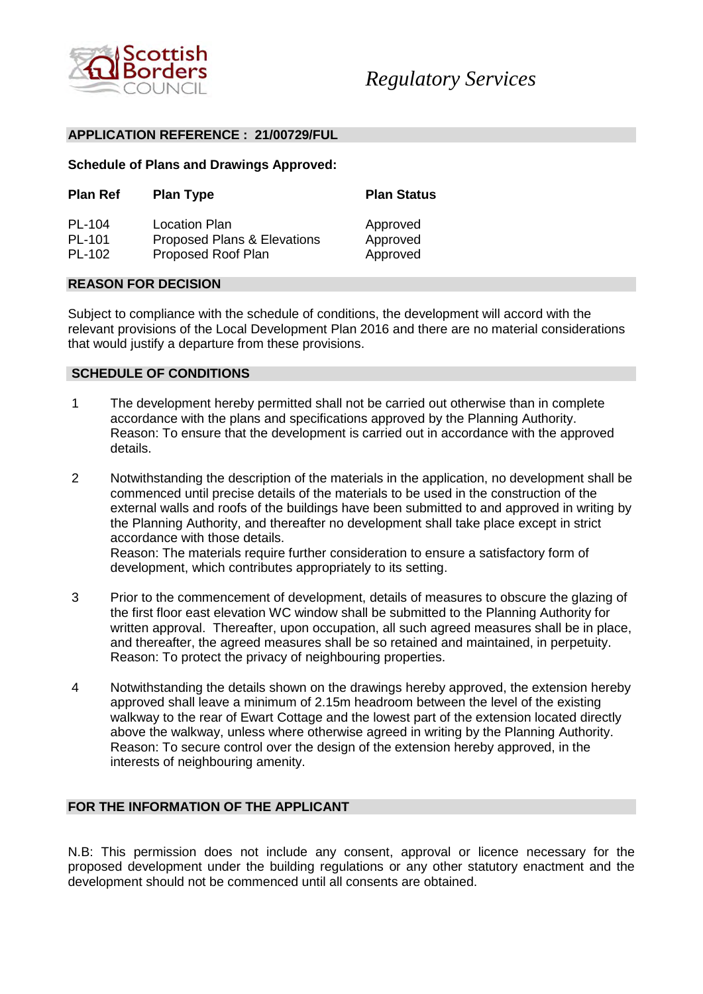

#### **APPLICATION REFERENCE : 21/00729/FUL**

# **Schedule of Plans and Drawings Approved:**

| <b>Plan Ref</b> | <b>Plan Type</b>            | <b>Plan Status</b> |
|-----------------|-----------------------------|--------------------|
| PL-104          | Location Plan               | Approved           |
| PL-101          | Proposed Plans & Elevations | Approved           |
| PL-102          | Proposed Roof Plan          | Approved           |

#### **REASON FOR DECISION**

Subject to compliance with the schedule of conditions, the development will accord with the relevant provisions of the Local Development Plan 2016 and there are no material considerations that would justify a departure from these provisions.

#### **SCHEDULE OF CONDITIONS**

- 1 The development hereby permitted shall not be carried out otherwise than in complete accordance with the plans and specifications approved by the Planning Authority. Reason: To ensure that the development is carried out in accordance with the approved details.
- 2 Notwithstanding the description of the materials in the application, no development shall be commenced until precise details of the materials to be used in the construction of the external walls and roofs of the buildings have been submitted to and approved in writing by the Planning Authority, and thereafter no development shall take place except in strict accordance with those details. Reason: The materials require further consideration to ensure a satisfactory form of development, which contributes appropriately to its setting.
- 3 Prior to the commencement of development, details of measures to obscure the glazing of the first floor east elevation WC window shall be submitted to the Planning Authority for written approval. Thereafter, upon occupation, all such agreed measures shall be in place, and thereafter, the agreed measures shall be so retained and maintained, in perpetuity. Reason: To protect the privacy of neighbouring properties.
- 4 Notwithstanding the details shown on the drawings hereby approved, the extension hereby approved shall leave a minimum of 2.15m headroom between the level of the existing walkway to the rear of Ewart Cottage and the lowest part of the extension located directly above the walkway, unless where otherwise agreed in writing by the Planning Authority. Reason: To secure control over the design of the extension hereby approved, in the interests of neighbouring amenity.

# **FOR THE INFORMATION OF THE APPLICANT**

N.B: This permission does not include any consent, approval or licence necessary for the proposed development under the building regulations or any other statutory enactment and the development should not be commenced until all consents are obtained.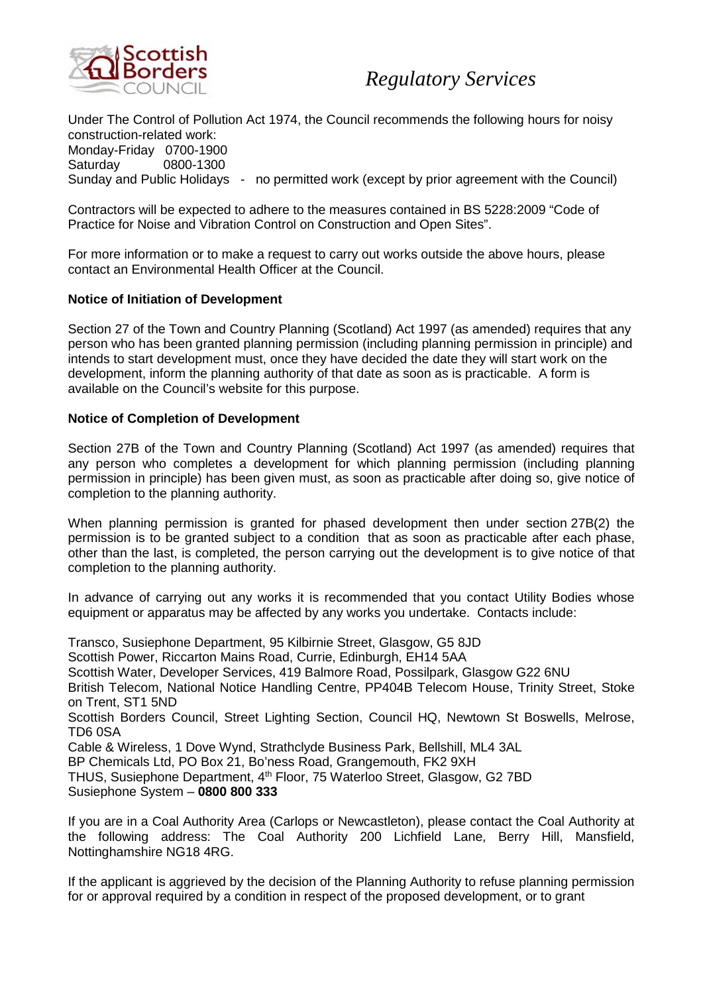

Under The Control of Pollution Act 1974, the Council recommends the following hours for noisy construction-related work: Monday-Friday 0700-1900 Saturday 0800-1300 Sunday and Public Holidays - no permitted work (except by prior agreement with the Council)

Contractors will be expected to adhere to the measures contained in BS 5228:2009 "Code of Practice for Noise and Vibration Control on Construction and Open Sites".

For more information or to make a request to carry out works outside the above hours, please contact an Environmental Health Officer at the Council.

# **Notice of Initiation of Development**

Section 27 of the Town and Country Planning (Scotland) Act 1997 (as amended) requires that any person who has been granted planning permission (including planning permission in principle) and intends to start development must, once they have decided the date they will start work on the development, inform the planning authority of that date as soon as is practicable. A form is available on the Council's website for this purpose.

# **Notice of Completion of Development**

Section 27B of the Town and Country Planning (Scotland) Act 1997 (as amended) requires that any person who completes a development for which planning permission (including planning permission in principle) has been given must, as soon as practicable after doing so, give notice of completion to the planning authority.

When planning permission is granted for phased development then under section 27B(2) the permission is to be granted subject to a condition that as soon as practicable after each phase, other than the last, is completed, the person carrying out the development is to give notice of that completion to the planning authority.

In advance of carrying out any works it is recommended that you contact Utility Bodies whose equipment or apparatus may be affected by any works you undertake. Contacts include:

Transco, Susiephone Department, 95 Kilbirnie Street, Glasgow, G5 8JD Scottish Power, Riccarton Mains Road, Currie, Edinburgh, EH14 5AA Scottish Water, Developer Services, 419 Balmore Road, Possilpark, Glasgow G22 6NU British Telecom, National Notice Handling Centre, PP404B Telecom House, Trinity Street, Stoke on Trent, ST1 5ND Scottish Borders Council, Street Lighting Section, Council HQ, Newtown St Boswells, Melrose, TD6 0SA Cable & Wireless, 1 Dove Wynd, Strathclyde Business Park, Bellshill, ML4 3AL BP Chemicals Ltd, PO Box 21, Bo'ness Road, Grangemouth, FK2 9XH THUS, Susiephone Department, 4<sup>th</sup> Floor, 75 Waterloo Street, Glasgow, G2 7BD Susiephone System – **0800 800 333** 

If you are in a Coal Authority Area (Carlops or Newcastleton), please contact the Coal Authority at the following address: The Coal Authority 200 Lichfield Lane, Berry Hill, Mansfield, Nottinghamshire NG18 4RG.

If the applicant is aggrieved by the decision of the Planning Authority to refuse planning permission for or approval required by a condition in respect of the proposed development, or to grant